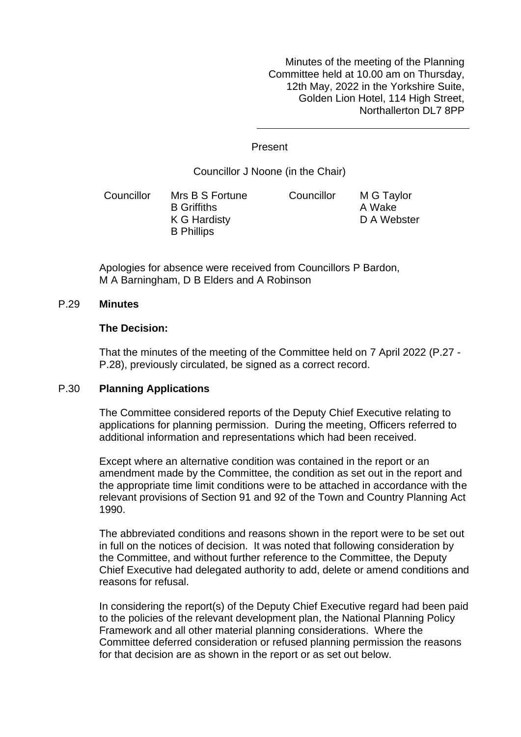Minutes of the meeting of the Planning Committee held at 10.00 am on Thursday, 12th May, 2022 in the Yorkshire Suite, Golden Lion Hotel, 114 High Street, Northallerton DL7 8PP

Present

Councillor J Noone (in the Chair)

Councillor Mrs B S Fortune B Griffiths K G Hardisty B Phillips Councillor M G Taylor A Wake D A Webster

Apologies for absence were received from Councillors P Bardon, M A Barningham, D B Elders and A Robinson

## P.29 **Minutes**

#### **The Decision:**

That the minutes of the meeting of the Committee held on 7 April 2022 (P.27 - P.28), previously circulated, be signed as a correct record.

### P.30 **Planning Applications**

The Committee considered reports of the Deputy Chief Executive relating to applications for planning permission. During the meeting, Officers referred to additional information and representations which had been received.

Except where an alternative condition was contained in the report or an amendment made by the Committee, the condition as set out in the report and the appropriate time limit conditions were to be attached in accordance with the relevant provisions of Section 91 and 92 of the Town and Country Planning Act 1990.

The abbreviated conditions and reasons shown in the report were to be set out in full on the notices of decision. It was noted that following consideration by the Committee, and without further reference to the Committee, the Deputy Chief Executive had delegated authority to add, delete or amend conditions and reasons for refusal.

In considering the report(s) of the Deputy Chief Executive regard had been paid to the policies of the relevant development plan, the National Planning Policy Framework and all other material planning considerations. Where the Committee deferred consideration or refused planning permission the reasons for that decision are as shown in the report or as set out below.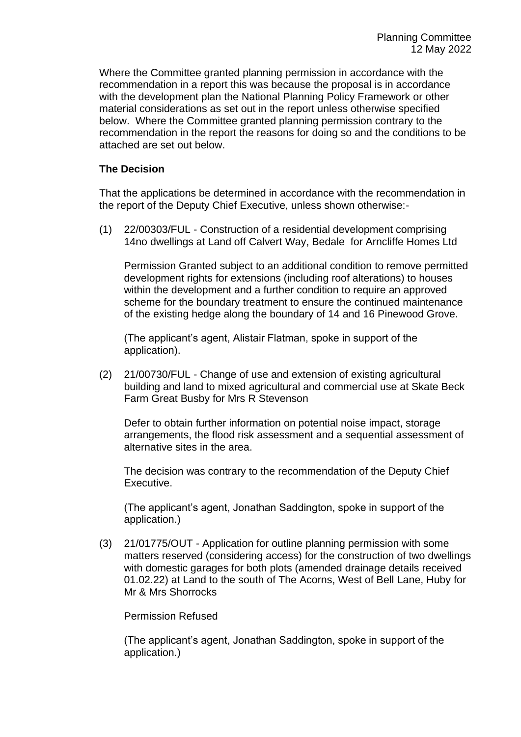Where the Committee granted planning permission in accordance with the recommendation in a report this was because the proposal is in accordance with the development plan the National Planning Policy Framework or other material considerations as set out in the report unless otherwise specified below. Where the Committee granted planning permission contrary to the recommendation in the report the reasons for doing so and the conditions to be attached are set out below.

# **The Decision**

That the applications be determined in accordance with the recommendation in the report of the Deputy Chief Executive, unless shown otherwise:-

(1) 22/00303/FUL - Construction of a residential development comprising 14no dwellings at Land off Calvert Way, Bedale for Arncliffe Homes Ltd

Permission Granted subject to an additional condition to remove permitted development rights for extensions (including roof alterations) to houses within the development and a further condition to require an approved scheme for the boundary treatment to ensure the continued maintenance of the existing hedge along the boundary of 14 and 16 Pinewood Grove.

(The applicant's agent, Alistair Flatman, spoke in support of the application).

(2) 21/00730/FUL - Change of use and extension of existing agricultural building and land to mixed agricultural and commercial use at Skate Beck Farm Great Busby for Mrs R Stevenson

Defer to obtain further information on potential noise impact, storage arrangements, the flood risk assessment and a sequential assessment of alternative sites in the area.

The decision was contrary to the recommendation of the Deputy Chief Executive.

(The applicant's agent, Jonathan Saddington, spoke in support of the application.)

(3) 21/01775/OUT - Application for outline planning permission with some matters reserved (considering access) for the construction of two dwellings with domestic garages for both plots (amended drainage details received 01.02.22) at Land to the south of The Acorns, West of Bell Lane, Huby for Mr & Mrs Shorrocks

## Permission Refused

(The applicant's agent, Jonathan Saddington, spoke in support of the application.)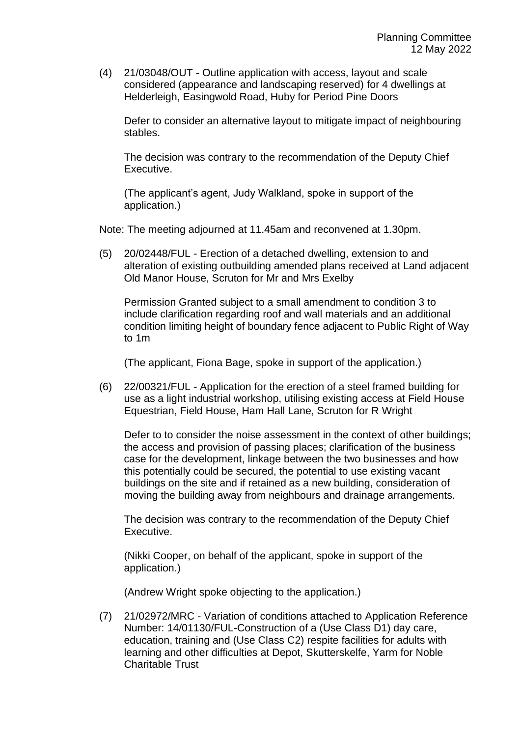(4) 21/03048/OUT - Outline application with access, layout and scale considered (appearance and landscaping reserved) for 4 dwellings at Helderleigh, Easingwold Road, Huby for Period Pine Doors

Defer to consider an alternative layout to mitigate impact of neighbouring stables.

The decision was contrary to the recommendation of the Deputy Chief Executive.

(The applicant's agent, Judy Walkland, spoke in support of the application.)

Note: The meeting adjourned at 11.45am and reconvened at 1.30pm.

(5) 20/02448/FUL - Erection of a detached dwelling, extension to and alteration of existing outbuilding amended plans received at Land adjacent Old Manor House, Scruton for Mr and Mrs Exelby

Permission Granted subject to a small amendment to condition 3 to include clarification regarding roof and wall materials and an additional condition limiting height of boundary fence adjacent to Public Right of Way to 1m

(The applicant, Fiona Bage, spoke in support of the application.)

(6) 22/00321/FUL - Application for the erection of a steel framed building for use as a light industrial workshop, utilising existing access at Field House Equestrian, Field House, Ham Hall Lane, Scruton for R Wright

Defer to to consider the noise assessment in the context of other buildings; the access and provision of passing places; clarification of the business case for the development, linkage between the two businesses and how this potentially could be secured, the potential to use existing vacant buildings on the site and if retained as a new building, consideration of moving the building away from neighbours and drainage arrangements.

The decision was contrary to the recommendation of the Deputy Chief Executive.

(Nikki Cooper, on behalf of the applicant, spoke in support of the application.)

(Andrew Wright spoke objecting to the application.)

(7) 21/02972/MRC - Variation of conditions attached to Application Reference Number: 14/01130/FUL-Construction of a (Use Class D1) day care, education, training and (Use Class C2) respite facilities for adults with learning and other difficulties at Depot, Skutterskelfe, Yarm for Noble Charitable Trust